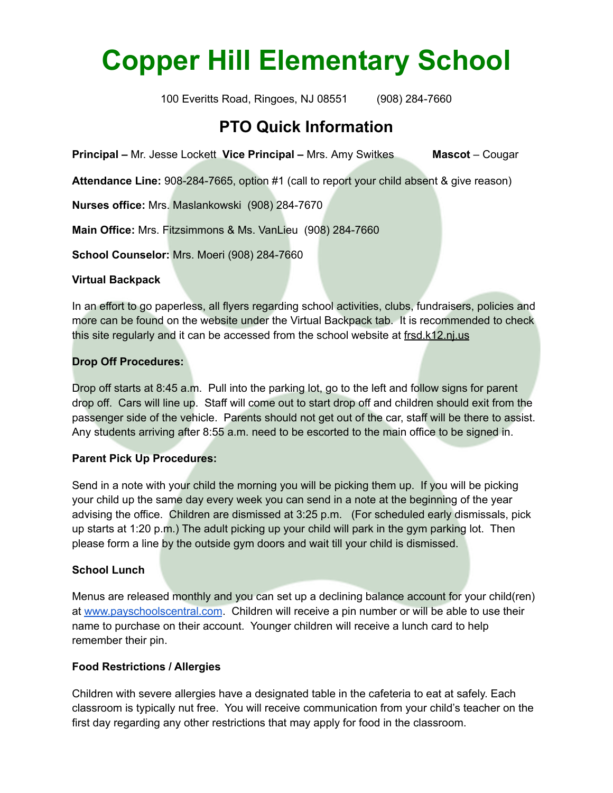# **Copper Hill Elementary School**

100 Everitts Road, Ringoes, NJ 08551 (908) 284-7660

# **PTO Quick Information**

**Principal –** Mr. Jesse Lockett **Vice Principal –** Mrs. Amy Switkes **Mascot** – Cougar

**Attendance Line:** 908-284-7665, option #1 (call to report your child absent & give reason)

**Nurses office:** Mrs. Maslankowski (908) 284-7670

**Main Office:** Mrs. Fitzsimmons & Ms. VanLieu (908) 284-7660

**School Counselor:** Mrs. Moeri (908) 284-7660

## **Virtual Backpack**

In an effort to go paperless, all flyers regarding school activities, clubs, fundraisers, policies and more can be found on the website under the Virtual Backpack tab. It is recommended to check this site regularly and it can be accessed from the school website at frsd.k12.nj.us

# **Drop Off Procedures:**

Drop off starts at 8:45 a.m. Pull into the parking lot, go to the left and follow signs for parent drop off. Cars will line up. Staff will come out to start drop off and children should exit from the passenger side of the vehicle. Parents should not get out of the car, staff will be there to assist. Any students arriving after 8:55 a.m. need to be escorted to the main office to be signed in.

# **Parent Pick Up Procedures:**

Send in a note with your child the morning you will be picking them up. If you will be picking your child up the same day every week you can send in a note at the beginning of the year advising the office. Children are dismissed at 3:25 p.m. (For scheduled early dismissals, pick up starts at 1:20 p.m.) The adult picking up your child will park in the gym parking lot. Then please form a line by the outside gym doors and wait till your child is dismissed.

# **School Lunch**

Menus are released monthly and you can set up a declining balance account for your child(ren) at [www.payschoolscentral.com](http://www.payschoolscentral.com/). Children will receive a pin number or will be able to use their name to purchase on their account. Younger children will receive a lunch card to help remember their pin.

# **Food Restrictions / Allergies**

Children with severe allergies have a designated table in the cafeteria to eat at safely. Each classroom is typically nut free. You will receive communication from your child's teacher on the first day regarding any other restrictions that may apply for food in the classroom.